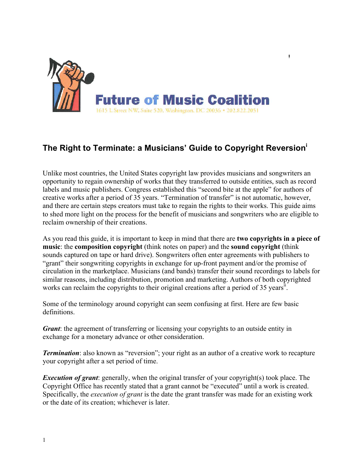

# **The Right to Terminate: a Musicians' Guide to Copyright Reversion<sup>i</sup>**

 $\bar{\mathbf{g}}$ 

Unlike most countries, the United States copyright law provides musicians and songwriters an opportunity to regain ownership of works that they transferred to outside entities, such as record labels and music publishers. Congress established this "second bite at the apple" for authors of creative works after a period of 35 years. "Termination of transfer" is not automatic, however, and there are certain steps creators must take to regain the rights to their works. This guide aims to shed more light on the process for the benefit of musicians and songwriters who are eligible to reclaim ownership of their creations.

As you read this guide, it is important to keep in mind that there are **two copyrights in a piece of music**: the **composition copyright** (think notes on paper) and the **sound copyright** (think sounds captured on tape or hard drive). Songwriters often enter agreements with publishers to "grant" their songwriting copyrights in exchange for up-front payment and/or the promise of circulation in the marketplace. Musicians (and bands) transfer their sound recordings to labels for similar reasons, including distribution, promotion and marketing. Authors of both copyrighted works can reclaim the copyrights to their original creations after a period of 35 years<sup> $\hat{u}$ </sup>.

Some of the terminology around copyright can seem confusing at first. Here are few basic definitions.

*Grant*: the agreement of transferring or licensing your copyrights to an outside entity in exchange for a monetary advance or other consideration.

*Termination*: also known as "reversion"; your right as an author of a creative work to recapture your copyright after a set period of time.

*Execution of grant*: generally, when the original transfer of your copyright(s) took place. The Copyright Office has recently stated that a grant cannot be "executed" until a work is created. Specifically, the *execution of grant* is the date the grant transfer was made for an existing work or the date of its creation; whichever is later.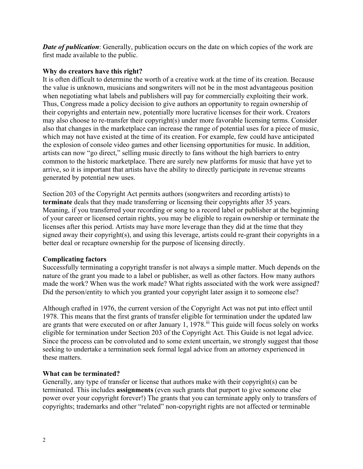*Date of publication*: Generally, publication occurs on the date on which copies of the work are first made available to the public.

### **Why do creators have this right?**

It is often difficult to determine the worth of a creative work at the time of its creation. Because the value is unknown, musicians and songwriters will not be in the most advantageous position when negotiating what labels and publishers will pay for commercially exploiting their work. Thus, Congress made a policy decision to give authors an opportunity to regain ownership of their copyrights and entertain new, potentially more lucrative licenses for their work. Creators may also choose to re-transfer their copyright(s) under more favorable licensing terms. Consider also that changes in the marketplace can increase the range of potential uses for a piece of music, which may not have existed at the time of its creation. For example, few could have anticipated the explosion of console video games and other licensing opportunities for music. In addition, artists can now "go direct," selling music directly to fans without the high barriers to entry common to the historic marketplace. There are surely new platforms for music that have yet to arrive, so it is important that artists have the ability to directly participate in revenue streams generated by potential new uses.

Section 203 of the Copyright Act permits authors (songwriters and recording artists) to **terminate** deals that they made transferring or licensing their copyrights after 35 years. Meaning, if you transferred your recording or song to a record label or publisher at the beginning of your career or licensed certain rights, you may be eligible to regain ownership or terminate the licenses after this period. Artists may have more leverage than they did at the time that they signed away their copyright(s), and using this leverage, artists could re-grant their copyrights in a better deal or recapture ownership for the purpose of licensing directly.

## **Complicating factors**

Successfully terminating a copyright transfer is not always a simple matter. Much depends on the nature of the grant you made to a label or publisher, as well as other factors. How many authors made the work? When was the work made? What rights associated with the work were assigned? Did the person/entity to which you granted your copyright later assign it to someone else?

Although crafted in 1976, the current version of the Copyright Act was not put into effect until 1978. This means that the first grants of transfer eligible for termination under the updated law are grants that were executed on or after January 1, 1978.<sup>iii</sup> This guide will focus solely on works eligible for termination under Section 203 of the Copyright Act. This Guide is not legal advice. Since the process can be convoluted and to some extent uncertain, we strongly suggest that those seeking to undertake a termination seek formal legal advice from an attorney experienced in these matters.

## **What can be terminated?**

Generally, any type of transfer or license that authors make with their copyright(s) can be terminated. This includes **assignments** (even such grants that purport to give someone else power over your copyright forever!) The grants that you can terminate apply only to transfers of copyrights; trademarks and other "related" non-copyright rights are not affected or terminable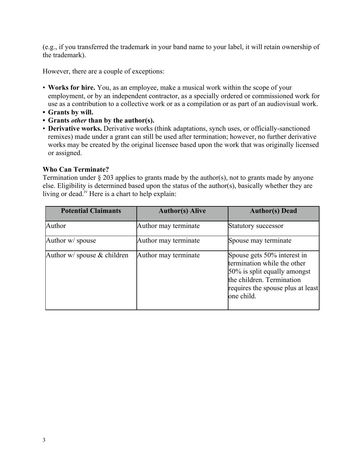(e.g., if you transferred the trademark in your band name to your label, it will retain ownership of the trademark).

However, there are a couple of exceptions:

- **Works for hire.** You, as an employee, make a musical work within the scope of your employment, or by an independent contractor, as a specially ordered or commissioned work for use as a contribution to a collective work or as a compilation or as part of an audiovisual work.
- **• Grants by will.**
- **• Grants** *other* **than by the author(s).**
- **Derivative works.** Derivative works (think adaptations, synch uses, or officially-sanctioned remixes) made under a grant can still be used after termination; however, no further derivative works may be created by the original licensee based upon the work that was originally licensed or assigned.

#### **Who Can Terminate?**

Termination under § 203 applies to grants made by the author(s), not to grants made by anyone else. Eligibility is determined based upon the status of the author(s), basically whether they are living or dead.<sup>iv</sup> Here is a chart to help explain:

| <b>Potential Claimants</b>       | <b>Author(s) Alive</b> | <b>Author(s)</b> Dead                                                                                                                                                      |
|----------------------------------|------------------------|----------------------------------------------------------------------------------------------------------------------------------------------------------------------------|
| Author                           | Author may terminate   | Statutory successor                                                                                                                                                        |
| Author w/ spouse                 | Author may terminate   | Spouse may terminate                                                                                                                                                       |
| Author $w/$ spouse $\&$ children | Author may terminate   | Spouse gets 50% interest in<br>termination while the other<br>50% is split equally amongst<br>the children. Termination<br>requires the spouse plus at least<br>one child. |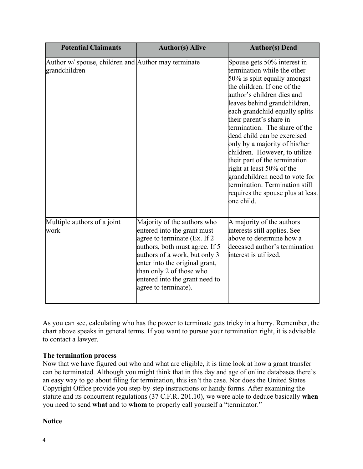| <b>Potential Claimants</b>                                           | <b>Author(s) Alive</b>                                                                                                                                                                                                                                                                 | <b>Author(s)</b> Dead                                                                                                                                                                                                                                                                                                                                                                                                                                                                                                                                                       |
|----------------------------------------------------------------------|----------------------------------------------------------------------------------------------------------------------------------------------------------------------------------------------------------------------------------------------------------------------------------------|-----------------------------------------------------------------------------------------------------------------------------------------------------------------------------------------------------------------------------------------------------------------------------------------------------------------------------------------------------------------------------------------------------------------------------------------------------------------------------------------------------------------------------------------------------------------------------|
| Author w/ spouse, children and Author may terminate<br>grandchildren |                                                                                                                                                                                                                                                                                        | Spouse gets 50% interest in<br>termination while the other<br>50% is split equally amongst<br>the children. If one of the<br>author's children dies and<br>leaves behind grandchildren,<br>each grandchild equally splits<br>their parent's share in<br>termination. The share of the<br>dead child can be exercised<br>only by a majority of his/her<br>children. However, to utilize<br>their part of the termination<br>right at least 50% of the<br>grandchildren need to vote for<br>termination. Termination still<br>requires the spouse plus at least<br>one child. |
| Multiple authors of a joint<br>work                                  | Majority of the authors who<br>entered into the grant must<br>agree to terminate (Ex. If 2)<br>authors, both must agree. If 5<br>authors of a work, but only 3<br>enter into the original grant,<br>than only 2 of those who<br>entered into the grant need to<br>agree to terminate). | A majority of the authors<br>interests still applies. See<br>above to determine how a<br>deceased author's termination<br>interest is utilized.                                                                                                                                                                                                                                                                                                                                                                                                                             |

As you can see, calculating who has the power to terminate gets tricky in a hurry. Remember, the chart above speaks in general terms. If you want to pursue your termination right, it is advisable to contact a lawyer.

## **The termination process**

Now that we have figured out who and what are eligible, it is time look at how a grant transfer can be terminated. Although you might think that in this day and age of online databases there's an easy way to go about filing for termination, this isn't the case. Nor does the United States Copyright Office provide you step-by-step instructions or handy forms. After examining the statute and its concurrent regulations (37 C.F.R. 201.10), we were able to deduce basically **when** you need to send **what** and to **whom** to properly call yourself a "terminator."

## **Notice**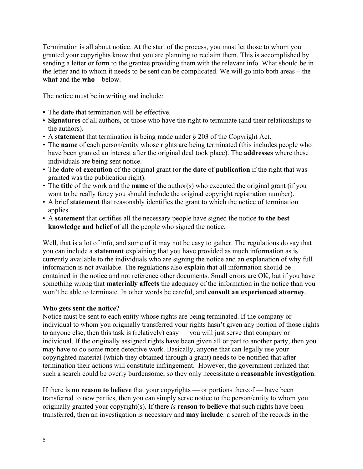Termination is all about notice. At the start of the process, you must let those to whom you granted your copyrights know that you are planning to reclaim them. This is accomplished by sending a letter or form to the grantee providing them with the relevant info. What should be in the letter and to whom it needs to be sent can be complicated. We will go into both areas – the **what** and the **who** – below.

The notice must be in writing and include:

- **•** The **date** that termination will be effective.
- **Signatures** of all authors, or those who have the right to terminate (and their relationships to the authors).
- A **statement** that termination is being made under § 203 of the Copyright Act.
- The **name** of each person/entity whose rights are being terminated (this includes people who have been granted an interest after the original deal took place). The **addresses** where these individuals are being sent notice.
- The **date** of **execution** of the original grant (or the **date** of **publication** if the right that was granted was the publication right).
- The **title** of the work and the **name** of the author(s) who executed the original grant (if you want to be really fancy you should include the original copyright registration number).
- A brief **statement** that reasonably identifies the grant to which the notice of termination applies.
- A **statement** that certifies all the necessary people have signed the notice **to the best knowledge and belief** of all the people who signed the notice.

Well, that is a lot of info, and some of it may not be easy to gather. The regulations do say that you can include a **statement** explaining that you have provided as much information as is currently available to the individuals who are signing the notice and an explanation of why full information is not available. The regulations also explain that all information should be contained in the notice and not reference other documents. Small errors are OK, but if you have something wrong that **materially affects** the adequacy of the information in the notice than you won't be able to terminate. In other words be careful, and **consult an experienced attorney**.

#### **Who gets sent the notice?**

Notice must be sent to each entity whose rights are being terminated. If the company or individual to whom you originally transferred your rights hasn't given any portion of those rights to anyone else, then this task is (relatively) easy — you will just serve that company or individual. If the originally assigned rights have been given all or part to another party, then you may have to do some more detective work. Basically, anyone that can legally use your copyrighted material (which they obtained through a grant) needs to be notified that after termination their actions will constitute infringement. However, the government realized that such a search could be overly burdensome, so they only necessitate a **reasonable investigation**.

If there is **no reason to believe** that your copyrights — or portions thereof — have been transferred to new parties, then you can simply serve notice to the person/entity to whom you originally granted your copyright(s). If there *is* **reason to believe** that such rights have been transferred, then an investigation is necessary and **may include**: a search of the records in the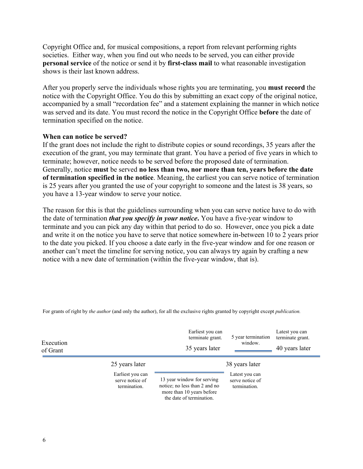Copyright Office and, for musical compositions, a report from relevant performing rights societies. Either way, when you find out who needs to be served, you can either provide **personal service** of the notice or send it by **first-class mail** to what reasonable investigation shows is their last known address.

After you properly serve the individuals whose rights you are terminating, you **must record** the notice with the Copyright Office. You do this by submitting an exact copy of the original notice, accompanied by a small "recordation fee" and a statement explaining the manner in which notice was served and its date. You must record the notice in the Copyright Office **before** the date of termination specified on the notice.

#### **When can notice be served?**

If the grant does not include the right to distribute copies or sound recordings, 35 years after the execution of the grant, you may terminate that grant. You have a period of five years in which to terminate; however, notice needs to be served before the proposed date of termination. Generally, notice **must** be served **no less than two, nor more than ten, years before the date of termination specified in the notice**. Meaning, the earliest you can serve notice of termination is 25 years after you granted the use of your copyright to someone and the latest is 38 years, so you have a 13-year window to serve your notice.

The reason for this is that the guidelines surrounding when you can serve notice have to do with the date of termination *that you specify in your notice***.** You have a five-year window to terminate and you can pick any day within that period to do so. However, once you pick a date and write it on the notice you have to serve that notice somewhere in-between 10 to 2 years prior to the date you picked. If you choose a date early in the five-year window and for one reason or another can't meet the timeline for serving notice, you can always try again by crafting a new notice with a new date of termination (within the five-year window, that is).

| Execution<br>of Grant |                                                     | Earliest you can<br>terminate grant.<br>35 years later                                                               | 5 year termination<br>window.                     | Latest you can<br>terminate grant.<br>40 years later |
|-----------------------|-----------------------------------------------------|----------------------------------------------------------------------------------------------------------------------|---------------------------------------------------|------------------------------------------------------|
|                       | 25 years later                                      |                                                                                                                      | 38 years later                                    |                                                      |
|                       | Earliest you can<br>serve notice of<br>termination. | 13 year window for serving<br>notice; no less than 2 and no<br>more than 10 years before<br>the date of termination. | Latest you can<br>serve notice of<br>termination. |                                                      |

For grants of right by *the author* (and only the author), for all the exclusive rights granted by copyright except *publication.*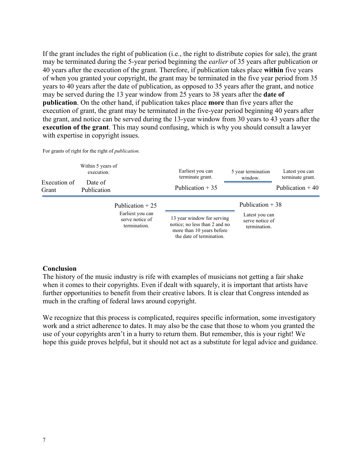If the grant includes the right of publication (i.e., the right to distribute copies for sale), the grant may be terminated during the 5-year period beginning the *earlier* of 35 years after publication or 40 years after the execution of the grant. Therefore, if publication takes place **within** five years of when you granted your copyright, the grant may be terminated in the five year period from 35 years to 40 years after the date of publication, as opposed to 35 years after the grant, and notice may be served during the 13 year window from 25 years to 38 years after the **date of publication**. On the other hand, if publication takes place **more** than five years after the execution of grant, the grant may be terminated in the five-year period beginning 40 years after the grant, and notice can be served during the 13-year window from 30 years to 43 years after the **execution of the grant**. This may sound confusing, which is why you should consult a lawyer with expertise in copyright issues.

| Execution of<br>Grant | Within 5 years of<br>execution.<br>Date of<br>Publication |                                                                          | Earliest you can<br>terminate grant.<br>Publication $+35$                                                            | 5 year termination<br>window.                                          | Latest you can<br>terminate grant.<br>Publication $+40$ |
|-----------------------|-----------------------------------------------------------|--------------------------------------------------------------------------|----------------------------------------------------------------------------------------------------------------------|------------------------------------------------------------------------|---------------------------------------------------------|
|                       |                                                           | Publication $+25$<br>Earliest you can<br>serve notice of<br>termination. | 13 year window for serving<br>notice; no less than 2 and no<br>more than 10 years before<br>the date of termination. | Publication $+38$<br>Latest you can<br>serve notice of<br>termination. |                                                         |

For grants of right for the right of *publication.*

#### **Conclusion**

The history of the music industry is rife with examples of musicians not getting a fair shake when it comes to their copyrights. Even if dealt with squarely, it is important that artists have further opportunities to benefit from their creative labors. It is clear that Congress intended as much in the crafting of federal laws around copyright.

We recognize that this process is complicated, requires specific information, some investigatory work and a strict adherence to dates. It may also be the case that those to whom you granted the use of your copyrights aren't in a hurry to return them. But remember, this is your right! We hope this guide proves helpful, but it should not act as a substitute for legal advice and guidance.